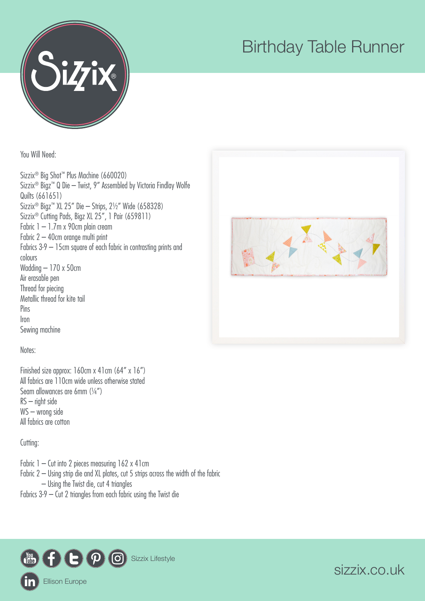

## Birthday Table Runner

You Will Need:

Sizzix® Big Shot™ Plus Machine (660020) Sizzix® Bigz™ Q Die – Twist, 9" Assembled by Victoria Findlay Wolfe Quilts (661651) Sizzix® Bigz™ XL 25" Die – Strips, 2½" Wide (658328) Sizzix® Cutting Pads, Bigz XL 25", 1 Pair (659811) Fabric 1 – 1.7m x 90cm plain cream Fabric 2 – 40cm orange multi print Fabrics 3-9 – 15cm square of each fabric in contrasting prints and colours Wadding – 170 x 50cm Air erasable pen Thread for piecing Metallic thread for kite tail Pins Iron Sewing machine



Notes:

Finished size approx: 160cm x 41cm (64" x 16") All fabrics are 110cm wide unless otherwise stated Seam allowances are 6mm (¼") RS – right side WS – wrong side All fabrics are cotton

Cutting:

Fabric  $1 -$  Cut into 2 pieces measuring  $162 \times 41$  cm Fabric 2 – Using strip die and XL plates, cut 5 strips across the width of the fabric – Using the Twist die, cut 4 triangles Fabrics 3-9 – Cut 2 triangles from each fabric using the Twist die



sizzix.co.uk